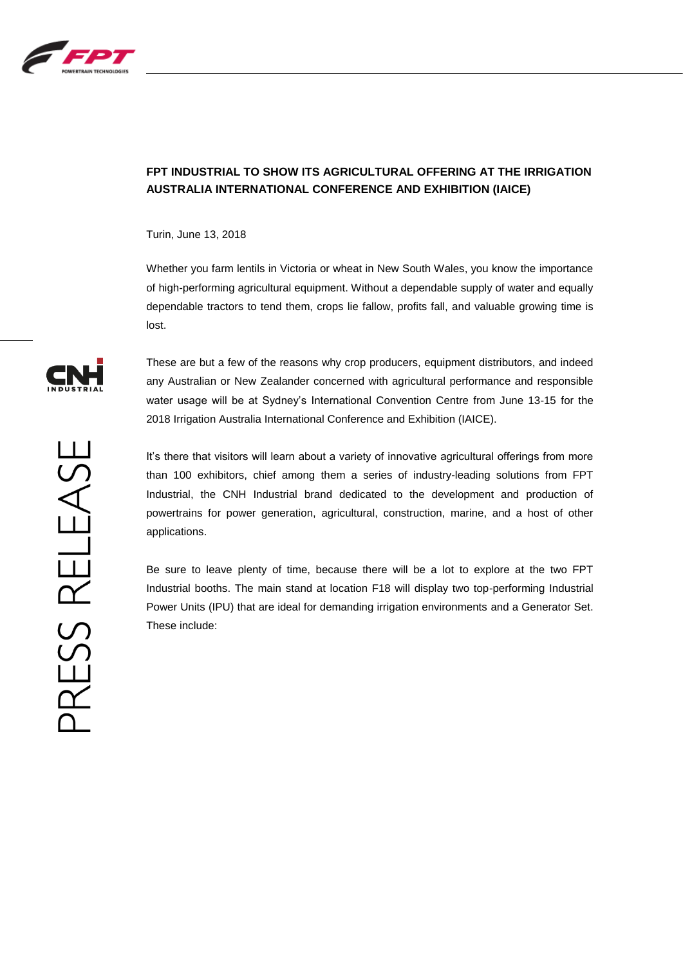

## **FPT INDUSTRIAL TO SHOW ITS AGRICULTURAL OFFERING AT THE IRRIGATION AUSTRALIA INTERNATIONAL CONFERENCE AND EXHIBITION (IAICE)**

Turin, June 13, 2018

Whether you farm lentils in Victoria or wheat in New South Wales, you know the importance of high-performing agricultural equipment. Without a dependable supply of water and equally dependable tractors to tend them, crops lie fallow, profits fall, and valuable growing time is lost.

These are but a few of the reasons why crop producers, equipment distributors, and indeed any Australian or New Zealander concerned with agricultural performance and responsible water usage will be at Sydney's International Convention Centre from June 13-15 for the 2018 Irrigation Australia International Conference and Exhibition (IAICE).

It's there that visitors will learn about a variety of innovative agricultural offerings from more than 100 exhibitors, chief among them a series of industry-leading solutions from FPT Industrial, the CNH Industrial brand dedicated to the development and production of powertrains for power generation, agricultural, construction, marine, and a host of other applications.

Be sure to leave plenty of time, because there will be a lot to explore at the two FPT Industrial booths. The main stand at location F18 will display two top-performing Industrial Power Units (IPU) that are ideal for demanding irrigation environments and a Generator Set. These include: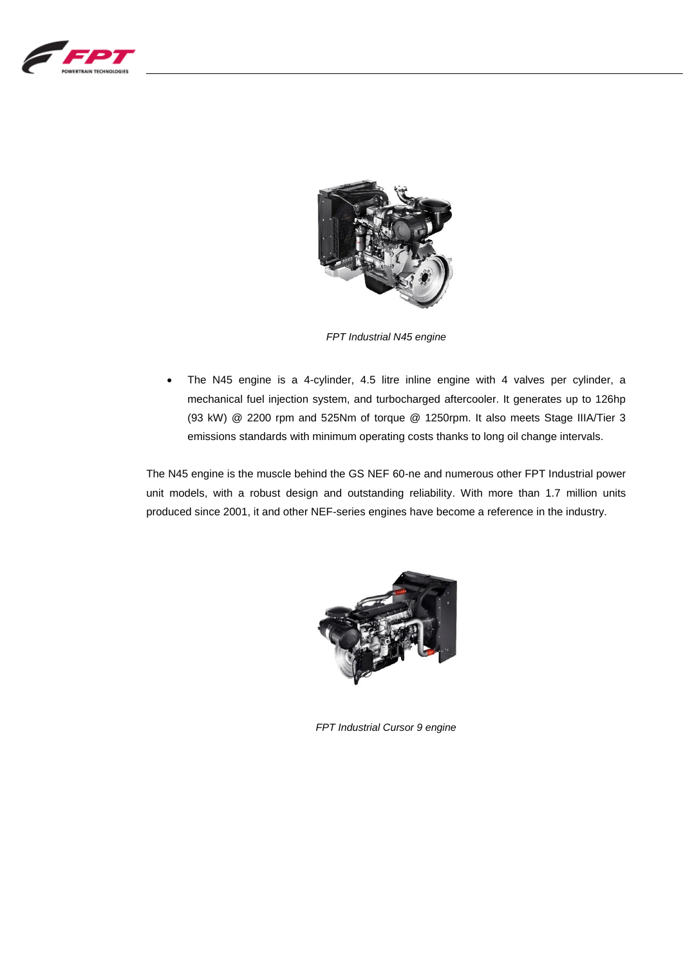



*FPT Industrial N45 engine*

 The N45 engine is a 4-cylinder, 4.5 litre inline engine with 4 valves per cylinder, a mechanical fuel injection system, and turbocharged aftercooler. It generates up to 126hp (93 kW) @ 2200 rpm and 525Nm of torque @ 1250rpm. It also meets Stage IIIA/Tier 3 emissions standards with minimum operating costs thanks to long oil change intervals.

The N45 engine is the muscle behind the GS NEF 60-ne and numerous other FPT Industrial power unit models, with a robust design and outstanding reliability. With more than 1.7 million units produced since 2001, it and other NEF-series engines have become a reference in the industry.



*FPT Industrial Cursor 9 engine*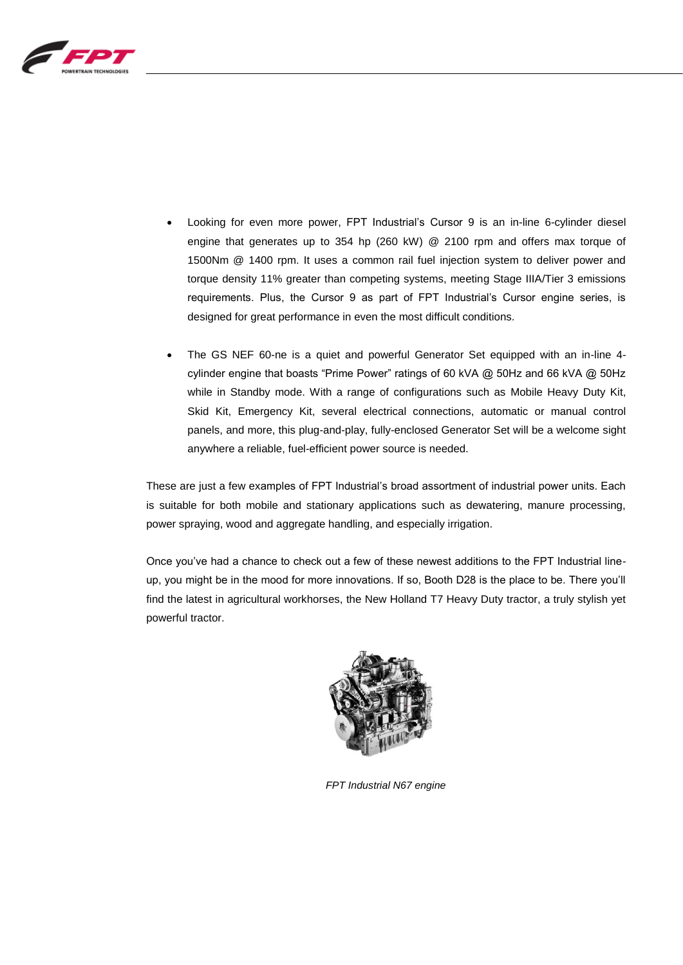

- Looking for even more power, FPT Industrial's Cursor 9 is an in-line 6-cylinder diesel engine that generates up to 354 hp (260 kW) @ 2100 rpm and offers max torque of 1500Nm @ 1400 rpm. It uses a common rail fuel injection system to deliver power and torque density 11% greater than competing systems, meeting Stage IIIA/Tier 3 emissions requirements. Plus, the Cursor 9 as part of FPT Industrial's Cursor engine series, is designed for great performance in even the most difficult conditions.
- The GS NEF 60-ne is a quiet and powerful Generator Set equipped with an in-line 4 cylinder engine that boasts "Prime Power" ratings of 60 kVA @ 50Hz and 66 kVA @ 50Hz while in Standby mode. With a range of configurations such as Mobile Heavy Duty Kit, Skid Kit, Emergency Kit, several electrical connections, automatic or manual control panels, and more, this plug-and-play, fully-enclosed Generator Set will be a welcome sight anywhere a reliable, fuel-efficient power source is needed.

These are just a few examples of FPT Industrial's broad assortment of industrial power units. Each is suitable for both mobile and stationary applications such as dewatering, manure processing, power spraying, wood and aggregate handling, and especially irrigation.

Once you've had a chance to check out a few of these newest additions to the FPT Industrial lineup, you might be in the mood for more innovations. If so, Booth D28 is the place to be. There you'll find the latest in agricultural workhorses, the New Holland T7 Heavy Duty tractor, a truly stylish yet powerful tractor.



*FPT Industrial N67 engine*